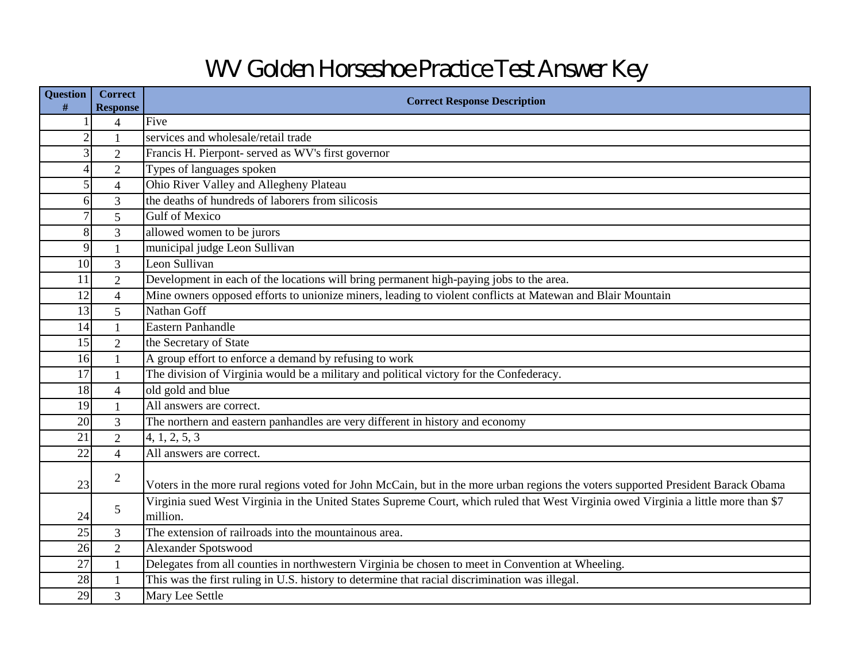## WV Golden Horseshoe Practice Test Answer Key

| <b>Question</b> | <b>Correct</b>       | <b>Correct Response Description</b>                                                                                                             |
|-----------------|----------------------|-------------------------------------------------------------------------------------------------------------------------------------------------|
|                 | <b>Response</b><br>4 | Five                                                                                                                                            |
| $\overline{2}$  | 1                    | services and wholesale/retail trade                                                                                                             |
| $\overline{3}$  | $\overline{2}$       | Francis H. Pierpont- served as WV's first governor                                                                                              |
| 4               | $\overline{2}$       | Types of languages spoken                                                                                                                       |
| $\mathfrak{S}$  | $\overline{4}$       | Ohio River Valley and Allegheny Plateau                                                                                                         |
| 6               | 3                    | the deaths of hundreds of laborers from silicosis                                                                                               |
| $\overline{7}$  | 5                    | <b>Gulf of Mexico</b>                                                                                                                           |
| 8               | $\overline{3}$       | allowed women to be jurors                                                                                                                      |
| $\overline{9}$  | $\mathbf{1}$         | municipal judge Leon Sullivan                                                                                                                   |
| 10              | $\overline{3}$       | Leon Sullivan                                                                                                                                   |
| 11              | $\overline{2}$       | Development in each of the locations will bring permanent high-paying jobs to the area.                                                         |
| 12              | $\overline{4}$       | Mine owners opposed efforts to unionize miners, leading to violent conflicts at Matewan and Blair Mountain                                      |
| 13              | 5                    | Nathan Goff                                                                                                                                     |
| 14              | $\mathbf{1}$         | Eastern Panhandle                                                                                                                               |
| 15              | $\overline{2}$       | the Secretary of State                                                                                                                          |
| 16              |                      | A group effort to enforce a demand by refusing to work                                                                                          |
| 17              | $\mathbf{1}$         | The division of Virginia would be a military and political victory for the Confederacy.                                                         |
| 18              | $\overline{4}$       | old gold and blue                                                                                                                               |
| 19              | $\mathbf{1}$         | All answers are correct.                                                                                                                        |
| 20              | 3                    | The northern and eastern panhandles are very different in history and economy                                                                   |
| 21              | $\overline{2}$       | 4, 1, 2, 5, 3                                                                                                                                   |
| 22              | $\overline{4}$       | All answers are correct.                                                                                                                        |
| 23              | $\overline{2}$       | Voters in the more rural regions voted for John McCain, but in the more urban regions the voters supported President Barack Obama               |
| 24              | 5                    | Virginia sued West Virginia in the United States Supreme Court, which ruled that West Virginia owed Virginia a little more than \$7<br>million. |
| 25              | 3                    | The extension of railroads into the mountainous area.                                                                                           |
| 26              | $\overline{2}$       | Alexander Spotswood                                                                                                                             |
| 27              | $\mathbf{1}$         | Delegates from all counties in northwestern Virginia be chosen to meet in Convention at Wheeling.                                               |
| 28              |                      | This was the first ruling in U.S. history to determine that racial discrimination was illegal.                                                  |
| 29              | $\overline{3}$       | Mary Lee Settle                                                                                                                                 |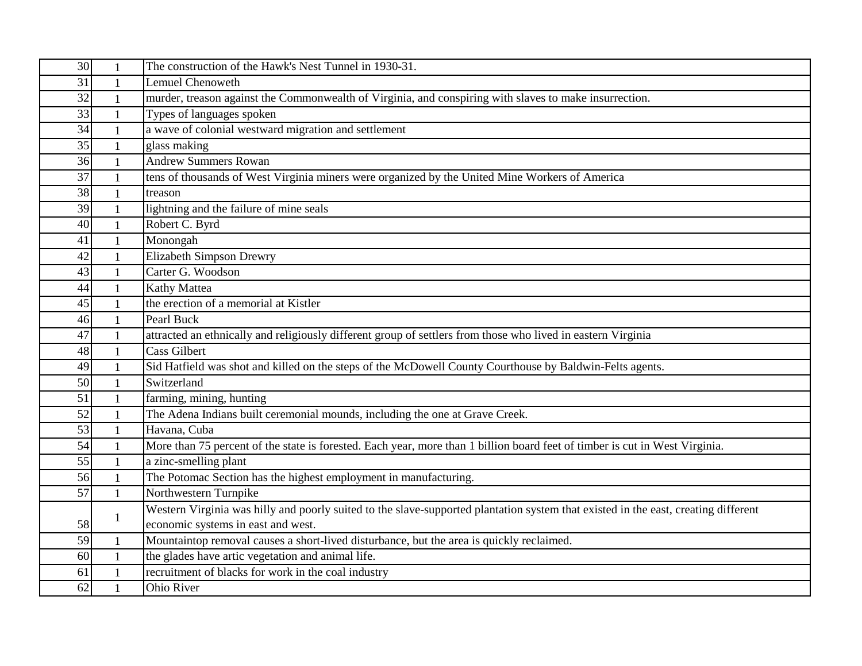| 30 |              | The construction of the Hawk's Nest Tunnel in 1930-31.                                                                             |
|----|--------------|------------------------------------------------------------------------------------------------------------------------------------|
| 31 |              | <b>Lemuel Chenoweth</b>                                                                                                            |
| 32 | $\mathbf{1}$ | murder, treason against the Commonwealth of Virginia, and conspiring with slaves to make insurrection.                             |
| 33 | $\mathbf{1}$ | Types of languages spoken                                                                                                          |
| 34 | $\mathbf{1}$ | a wave of colonial westward migration and settlement                                                                               |
| 35 |              | glass making                                                                                                                       |
| 36 |              | <b>Andrew Summers Rowan</b>                                                                                                        |
| 37 | 1            | tens of thousands of West Virginia miners were organized by the United Mine Workers of America                                     |
| 38 | $\mathbf{1}$ | treason                                                                                                                            |
| 39 |              | lightning and the failure of mine seals                                                                                            |
| 40 |              | Robert C. Byrd                                                                                                                     |
| 41 | $\mathbf{1}$ | Monongah                                                                                                                           |
| 42 | 1            | <b>Elizabeth Simpson Drewry</b>                                                                                                    |
| 43 | $\mathbf{1}$ | Carter G. Woodson                                                                                                                  |
| 44 | $\mathbf{1}$ | <b>Kathy Mattea</b>                                                                                                                |
| 45 |              | the erection of a memorial at Kistler                                                                                              |
| 46 | 1            | Pearl Buck                                                                                                                         |
| 47 |              | attracted an ethnically and religiously different group of settlers from those who lived in eastern Virginia                       |
| 48 | $\mathbf{1}$ | <b>Cass Gilbert</b>                                                                                                                |
| 49 |              | Sid Hatfield was shot and killed on the steps of the McDowell County Courthouse by Baldwin-Felts agents.                           |
| 50 | $\mathbf{1}$ | Switzerland                                                                                                                        |
| 51 | 1            | farming, mining, hunting                                                                                                           |
| 52 |              | The Adena Indians built ceremonial mounds, including the one at Grave Creek.                                                       |
| 53 | $\mathbf{1}$ | Havana, Cuba                                                                                                                       |
| 54 |              | More than 75 percent of the state is forested. Each year, more than 1 billion board feet of timber is cut in West Virginia.        |
| 55 | 1            | a zinc-smelling plant                                                                                                              |
| 56 |              | The Potomac Section has the highest employment in manufacturing.                                                                   |
| 57 | $\mathbf{1}$ | Northwestern Turnpike                                                                                                              |
|    | $\mathbf{1}$ | Western Virginia was hilly and poorly suited to the slave-supported plantation system that existed in the east, creating different |
| 58 |              | economic systems in east and west.                                                                                                 |
| 59 | $\mathbf{1}$ | Mountaintop removal causes a short-lived disturbance, but the area is quickly reclaimed.                                           |
| 60 | $\mathbf{1}$ | the glades have artic vegetation and animal life.                                                                                  |
| 61 |              | recruitment of blacks for work in the coal industry                                                                                |
| 62 |              | Ohio River                                                                                                                         |